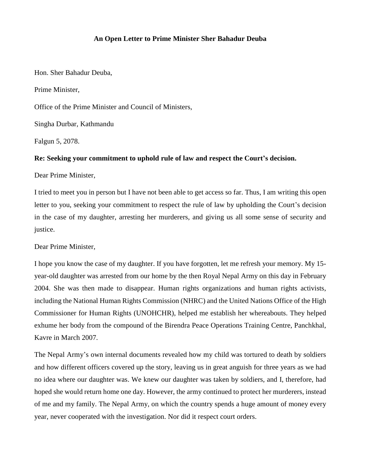## **An Open Letter to Prime Minister Sher Bahadur Deuba**

Hon. Sher Bahadur Deuba,

Prime Minister,

Office of the Prime Minister and Council of Ministers,

Singha Durbar, Kathmandu

Falgun 5, 2078.

## **Re: Seeking your commitment to uphold rule of law and respect the Court's decision.**

Dear Prime Minister,

I tried to meet you in person but I have not been able to get access so far. Thus, I am writing this open letter to you, seeking your commitment to respect the rule of law by upholding the Court's decision in the case of my daughter, arresting her murderers, and giving us all some sense of security and justice.

Dear Prime Minister,

I hope you know the case of my daughter. If you have forgotten, let me refresh your memory. My 15 year-old daughter was arrested from our home by the then Royal Nepal Army on this day in February 2004. She was then made to disappear. Human rights organizations and human rights activists, including the National Human Rights Commission (NHRC) and the United Nations Office of the High Commissioner for Human Rights (UNOHCHR), helped me establish her whereabouts. They helped exhume her body from the compound of the Birendra Peace Operations Training Centre, Panchkhal, Kavre in March 2007.

The Nepal Army's own internal documents revealed how my child was tortured to death by soldiers and how different officers covered up the story, leaving us in great anguish for three years as we had no idea where our daughter was. We knew our daughter was taken by soldiers, and I, therefore, had hoped she would return home one day. However, the army continued to protect her murderers, instead of me and my family. The Nepal Army, on which the country spends a huge amount of money every year, never cooperated with the investigation. Nor did it respect court orders.